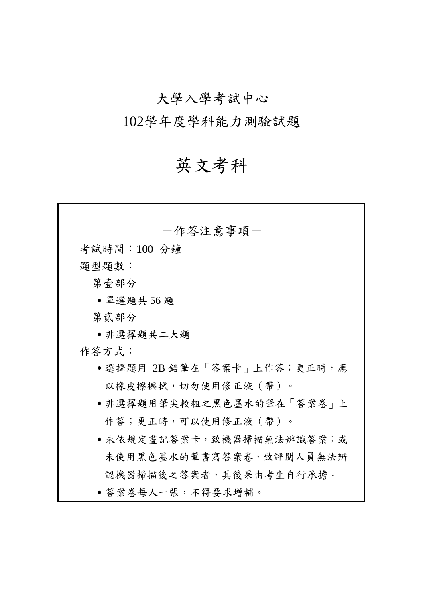# 大學入學考試中心

102學年度學科能力測驗試題

# 英文考科

| 一作答注意事項-                                 |
|------------------------------------------|
| 考試時間:100 分鐘                              |
| 題型題數:                                    |
| 第壹部分                                     |
| • 單選題共 56題                               |
| 第貳部分                                     |
| ●非選擇題共二大題                                |
| 作答方式:                                    |
| ● 選擇題用 2B 鉛筆在「答案卡 <sub> </sub> 上作答;更正時,應 |
| 以橡皮擦擦拭,切勿使用修正液(帶)。                       |
| • 非選擇題用筆尖較粗之黑色墨水的筆在「答案卷」上                |
| 作答;更正時,可以使用修正液(帶)。                       |
| • 未依規定畫記答案卡,致機器掃描無法辨識答案;或                |
| 未使用黑色墨水的筆書寫答案卷,致評閱人員無法辨                  |
| 認機器掃描後之答案者,其後果由考生自行承擔。                   |
| • 答案卷每人一張,不得要求增補。                        |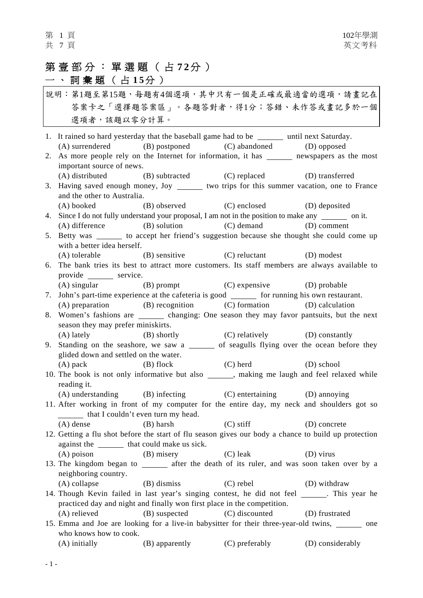## 第壹部分:單選題(占 **7 2**分 ) 一、詞彙題(占 **1 5** 分 )

### 說明︰第1題至第15題,每題有4個選項,其中只有一個是正確或最適當的選項,請畫記在 答案卡之「選擇題答案區」。各題答對者,得1分;答錯、未作答或畫記多於一個 選項者,該題以零分計算。 1. It rained so hard yesterday that the baseball game had to be \_\_\_\_\_\_ until next Saturday. (A) surrendered (B) postponed (C) abandoned (D) opposed 2. As more people rely on the Internet for information, it has newspapers as the most important source of news. (A) distributed (B) subtracted (C) replaced (D) transferred 3. Having saved enough money, Joy \_\_\_\_\_\_\_ two trips for this summer vacation, one to France and the other to Australia. (A) booked (B) observed (C) enclosed (D) deposited 4. Since I do not fully understand your proposal, I am not in the position to make any on it. (A) difference (B) solution (C) demand (D) comment 5. Betty was \_\_\_\_\_\_\_ to accept her friend's suggestion because she thought she could come up with a better idea herself. (A) tolerable (B) sensitive (C) reluctant (D) modest 6. The bank tries its best to attract more customers. Its staff members are always available to provide \_\_\_\_\_\_\_ service. (A) singular (B) prompt (C) expensive (D) probable 7. John's part-time experience at the cafeteria is good <u>for running</u> his own restaurant. (A) preparation (B) recognition (C) formation (D) calculation 8. Women's fashions are \_\_\_\_\_\_\_ changing: One season they may favor pantsuits, but the next season they may prefer miniskirts. (A) lately (B) shortly (C) relatively (D) constantly 9. Standing on the seashore, we saw a \_\_\_\_\_\_ of seagulls flying over the ocean before they glided down and settled on the water. (A) pack (B) flock (C) herd (D) school 10. The book is not only informative but also \_\_\_\_\_\_, making me laugh and feel relaxed while reading it. (A) understanding (B) infecting (C) entertaining (D) annoying 11. After working in front of my computer for the entire day, my neck and shoulders got so that I couldn't even turn my head. (A) dense (B) harsh (C) stiff (D) concrete 12. Getting a flu shot before the start of flu season gives our body a chance to build up protection against the  $\frac{1}{\sqrt{1-\frac{1}{\sqrt{1-\frac{1}{\sqrt{1-\frac{1}{\sqrt{1-\frac{1}{\sqrt{1-\frac{1}{\sqrt{1-\frac{1}{\sqrt{1-\frac{1}{\sqrt{1-\frac{1}{\sqrt{1-\frac{1}{\sqrt{1-\frac{1}{\sqrt{1-\frac{1}{\sqrt{1-\frac{1}{\sqrt{1-\frac{1}{\sqrt{1-\frac{1}{\sqrt{1-\frac{1}{\sqrt{1-\frac{1}{\sqrt{1-\frac{1}{\sqrt{1-\frac{1}{\sqrt{1-\frac{1}{\sqrt{1-\frac{1}{\sqrt{1-\frac{1}{\sqrt{1-\frac{1}{\sqrt{1-\$ (A) poison (B) misery (C) leak (D) virus 13. The kingdom began to \_\_\_\_\_\_ after the death of its ruler, and was soon taken over by a neighboring country. (A) collapse (B) dismiss (C) rebel (D) withdraw 14. Though Kevin failed in last year's singing contest, he did not feel \_\_\_\_\_\_. This year he practiced day and night and finally won first place in the competition. (A) relieved (B) suspected (C) discounted (D) frustrated 15. Emma and Joe are looking for a live-in babysitter for their three-year-old twins, when  $\sim$  one who knows how to cook. (A) initially (B) apparently (C) preferably (D) considerably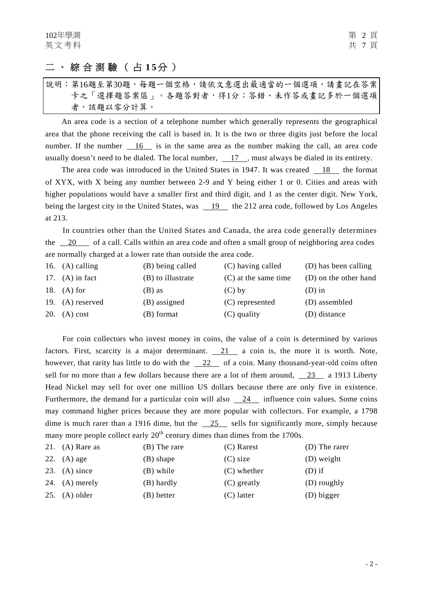二、綜合測驗(占15分)

| 說明:第16題至第30題,每題一個空格,請依文意選出最適當的一個選項,請畫記在答案 |                                        |  |  |  |  |  |  |  |  |  |  |  |  |
|-------------------------------------------|----------------------------------------|--|--|--|--|--|--|--|--|--|--|--|--|
|                                           | 卡之「選擇題答案區 - 。各題答對者,得1分;答錯、未作答或畫記多於一個選項 |  |  |  |  |  |  |  |  |  |  |  |  |
|                                           | 者,該題以零分計算。                             |  |  |  |  |  |  |  |  |  |  |  |  |

An area code is a section of a telephone number which generally represents the geographical area that the phone receiving the call is based in. It is the two or three digits just before the local number. If the number 16 is in the same area as the number making the call, an area code usually doesn't need to be dialed. The local number,  $\frac{17}{17}$ , must always be dialed in its entirety.

The area code was introduced in the United States in 1947. It was created 18 the format of XYX, with X being any number between 2-9 and Y being either 1 or 0. Cities and areas with higher populations would have a smaller first and third digit, and 1 as the center digit. New York, being the largest city in the United States, was  $19$  the 212 area code, followed by Los Angeles at 213.

In countries other than the United States and Canada, the area code generally determines the 20 of a call. Calls within an area code and often a small group of neighboring area codes are normally charged at a lower rate than outside the area code.

| 16. $(A)$ calling  | (B) being called  | (C) having called    | (D) has been calling  |
|--------------------|-------------------|----------------------|-----------------------|
| 17. $(A)$ in fact  | (B) to illustrate | (C) at the same time | (D) on the other hand |
| 18. $(A)$ for      | (B) as            | $(C)$ by             | $(D)$ in              |
| 19. $(A)$ reserved | (B) assigned      | (C) represented      | (D) assembled         |
| 20. $(A)$ cost     | (B) format        | (C) quality          | (D) distance          |

For coin collectors who invest money in coins, the value of a coin is determined by various factors. First, scarcity is a major determinant.  $\frac{21}{1}$  a coin is, the more it is worth. Note, however, that rarity has little to do with the  $\frac{22}{2}$  of a coin. Many thousand-year-old coins often sell for no more than a few dollars because there are a lot of them around, 23 a 1913 Liberty Head Nickel may sell for over one million US dollars because there are only five in existence. Furthermore, the demand for a particular coin will also  $\frac{24}{10}$  influence coin values. Some coins may command higher prices because they are more popular with collectors. For example, a 1798 dime is much rarer than a 1916 dime, but the  $\frac{25}{10}$  sells for significantly more, simply because many more people collect early  $20<sup>th</sup>$  century dimes than dimes from the 1700s.

| 22. $(A)$ age<br>$(C)$ size<br>(D) weight<br>(B) shape<br>23. $(A)$ since<br>$(C)$ whether<br>(B) while<br>$(D)$ if | (D) The rarer |
|---------------------------------------------------------------------------------------------------------------------|---------------|
|                                                                                                                     |               |
|                                                                                                                     |               |
| 24. $(A)$ merely<br>(B) hardly<br>(D) roughly<br>(C) greatly                                                        |               |
| 25. $(A)$ older<br>$(C)$ latter<br>(D) bigger<br>(B) better                                                         |               |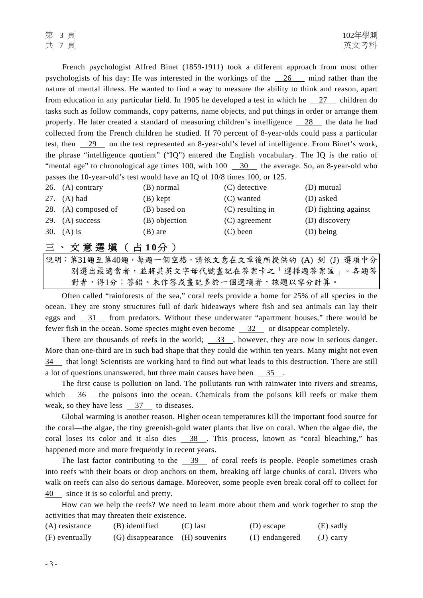French psychologist Alfred Binet (1859-1911) took a different approach from most other psychologists of his day: He was interested in the workings of the 26 mind rather than the nature of mental illness. He wanted to find a way to measure the ability to think and reason, apart from education in any particular field. In 1905 he developed a test in which he 27 children do tasks such as follow commands, copy patterns, name objects, and put things in order or arrange them properly. He later created a standard of measuring children's intelligence 28 the data he had collected from the French children he studied. If 70 percent of 8-year-olds could pass a particular test, then 29 on the test represented an 8-year-old's level of intelligence. From Binet's work, the phrase "intelligence quotient" ("IQ") entered the English vocabulary. The IQ is the ratio of "mental age" to chronological age times  $100$ , with  $100 - 30$  the average. So, an 8-year-old who passes the 10-year-old's test would have an IQ of 10/8 times 100, or 125.

| 26. $(A)$ contrary  | (B) normal    | (C) detective      | (D) mutual           |
|---------------------|---------------|--------------------|----------------------|
| 27. $(A)$ had       | $(B)$ kept    | (C) wanted         | (D) asked            |
| 28. (A) composed of | (B) based on  | $(C)$ resulting in | (D) fighting against |
| 29. $(A)$ success   | (B) objection | $(C)$ agreement    | (D) discovery        |
| 30. $(A)$ is        | (B) are       | $(C)$ been         | (D) being            |

## 三、文意選填(占 **1 0** 分 )

說明:第31題至第40題,每題一個空格,請依文意在文章後所提供的 (A) 到 (J) 選項中分 別選出最適當者,並將其英文字母代號畫記在答案卡之「選擇題答案區」。各題答 對者,得1分;答錯、未作答或畫記多於一個選項者,該題以零分計算。

Often called "rainforests of the sea," coral reefs provide a home for 25% of all species in the ocean. They are stony structures full of dark hideaways where fish and sea animals can lay their eggs and 31 from predators. Without these underwater "apartment houses," there would be fewer fish in the ocean. Some species might even become  $\frac{32}{ }$  or disappear completely.

There are thousands of reefs in the world; 33, however, they are now in serious danger. More than one-third are in such bad shape that they could die within ten years. Many might not even 34 that long! Scientists are working hard to find out what leads to this destruction. There are still a lot of questions unanswered, but three main causes have been 35.

The first cause is pollution on land. The pollutants run with rainwater into rivers and streams, which 36 the poisons into the ocean. Chemicals from the poisons kill reefs or make them weak, so they have less  $\frac{37}{100}$  to diseases.

Global warming is another reason. Higher ocean temperatures kill the important food source for the coral—the algae, the tiny greenish-gold water plants that live on coral. When the algae die, the coral loses its color and it also dies  $\frac{38}{10}$ . This process, known as "coral bleaching," has happened more and more frequently in recent years.

The last factor contributing to the  $\frac{39}{ }$  of coral reefs is people. People sometimes crash into reefs with their boats or drop anchors on them, breaking off large chunks of coral. Divers who walk on reefs can also do serious damage. Moreover, some people even break coral off to collect for 40 since it is so colorful and pretty.

How can we help the reefs? We need to learn more about them and work together to stop the activities that may threaten their existence.

| $(A)$ resistance | (B) identified                      | $(C)$ last | $(D)$ escape   | (E) sadly   |
|------------------|-------------------------------------|------------|----------------|-------------|
| (F) eventually   | $(G)$ disappearance $(H)$ souvenirs |            | (I) endangered | $(J)$ carry |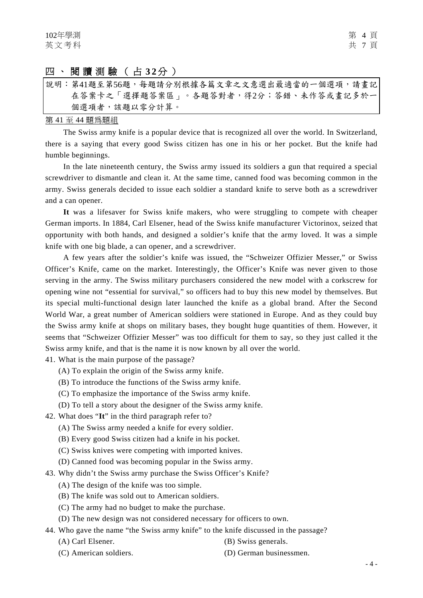# 四、閱讀測驗(占 **3 2** 分 )

說明︰第41題至第56題,每題請分別根據各篇文章之文意選出最適當的一個選項,請書記 在答案卡之「選擇題答案區」。各題答對者,得2分;答錯、未作答或畫記多於一 個選項者,該題以零分計算。

#### 第 41 至 44 題為題組

The Swiss army knife is a popular device that is recognized all over the world. In Switzerland, there is a saying that every good Swiss citizen has one in his or her pocket. But the knife had humble beginnings.

In the late nineteenth century, the Swiss army issued its soldiers a gun that required a special screwdriver to dismantle and clean it. At the same time, canned food was becoming common in the army. Swiss generals decided to issue each soldier a standard knife to serve both as a screwdriver and a can opener.

**It** was a lifesaver for Swiss knife makers, who were struggling to compete with cheaper German imports. In 1884, Carl Elsener, head of the Swiss knife manufacturer Victorinox, seized that opportunity with both hands, and designed a soldier's knife that the army loved. It was a simple knife with one big blade, a can opener, and a screwdriver.

A few years after the soldier's knife was issued, the "Schweizer Offizier Messer," or Swiss Officer's Knife, came on the market. Interestingly, the Officer's Knife was never given to those serving in the army. The Swiss military purchasers considered the new model with a corkscrew for opening wine not "essential for survival," so officers had to buy this new model by themselves. But its special multi-functional design later launched the knife as a global brand. After the Second World War, a great number of American soldiers were stationed in Europe. And as they could buy the Swiss army knife at shops on military bases, they bought huge quantities of them. However, it seems that "Schweizer Offizier Messer" was too difficult for them to say, so they just called it the Swiss army knife, and that is the name it is now known by all over the world.

41. What is the main purpose of the passage?

- (A) To explain the origin of the Swiss army knife.
- (B) To introduce the functions of the Swiss army knife.
- (C) To emphasize the importance of the Swiss army knife.
- (D) To tell a story about the designer of the Swiss army knife.
- 42. What does "**It**" in the third paragraph refer to?
	- (A) The Swiss army needed a knife for every soldier.
	- (B) Every good Swiss citizen had a knife in his pocket.
	- (C) Swiss knives were competing with imported knives.
	- (D) Canned food was becoming popular in the Swiss army.
- 43. Why didn't the Swiss army purchase the Swiss Officer's Knife?
	- (A) The design of the knife was too simple.
	- (B) The knife was sold out to American soldiers.
	- (C) The army had no budget to make the purchase.
	- (D) The new design was not considered necessary for officers to own.
- 44. Who gave the name "the Swiss army knife" to the knife discussed in the passage?
	- (A) Carl Elsener. (B) Swiss generals.
	- (C) American soldiers. (D) German businessmen.
		-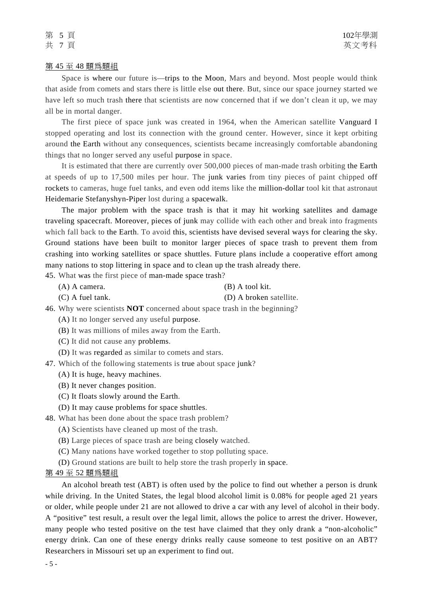#### 第 45 至 48 題為題組

Space is where our future is—trips to the Moon, Mars and beyond. Most people would think that aside from comets and stars there is little else out there. But, since our space journey started we have left so much trash there that scientists are now concerned that if we don't clean it up, we may all be in mortal danger.

The first piece of space junk was created in 1964, when the American satellite Vanguard I stopped operating and lost its connection with the ground center. However, since it kept orbiting around the Earth without any consequences, scientists became increasingly comfortable abandoning things that no longer served any useful purpose in space.

It is estimated that there are currently over 500,000 pieces of man-made trash orbiting the Earth at speeds of up to 17,500 miles per hour. The junk varies from tiny pieces of paint chipped off rockets to cameras, huge fuel tanks, and even odd items like the million-dollar tool kit that astronaut Heidemarie Stefanyshyn-Piper lost during a spacewalk.

The major problem with the space trash is that it may hit working satellites and damage traveling spacecraft. Moreover, pieces of junk may collide with each other and break into fragments which fall back to the Earth. To avoid this, scientists have devised several ways for clearing the sky. Ground stations have been built to monitor larger pieces of space trash to prevent them from crashing into working satellites or space shuttles. Future plans include a cooperative effort among many nations to stop littering in space and to clean up the trash already there.

45. What was the first piece of man-made space trash?

(A) A camera. (B) A tool kit.

(C) A fuel tank. (D) A broken satellite.

46. Why were scientists **NOT** concerned about space trash in the beginning?

(A) It no longer served any useful purpose.

(B) It was millions of miles away from the Earth.

(C) It did not cause any problems.

(D) It was regarded as similar to comets and stars.

47. Which of the following statements is true about space junk?

- (A) It is huge, heavy machines.
- (B) It never changes position.
- (C) It floats slowly around the Earth.
- (D) It may cause problems for space shuttles.

48. What has been done about the space trash problem?

(A) Scientists have cleaned up most of the trash.

- (B) Large pieces of space trash are being closely watched.
- (C) Many nations have worked together to stop polluting space.
- (D) Ground stations are built to help store the trash properly in space.

第 49 至 52 題為題組

An alcohol breath test (ABT) is often used by the police to find out whether a person is drunk while driving. In the United States, the legal blood alcohol limit is 0.08% for people aged 21 years or older, while people under 21 are not allowed to drive a car with any level of alcohol in their body. A "positive" test result, a result over the legal limit, allows the police to arrest the driver. However, many people who tested positive on the test have claimed that they only drank a "non-alcoholic" energy drink. Can one of these energy drinks really cause someone to test positive on an ABT? Researchers in Missouri set up an experiment to find out.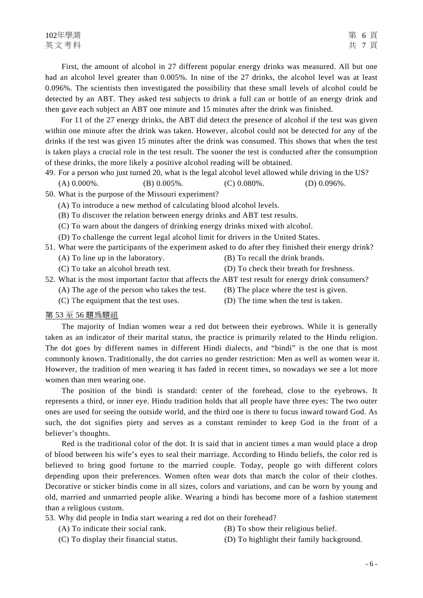First, the amount of alcohol in 27 different popular energy drinks was measured. All but one had an alcohol level greater than 0.005%. In nine of the 27 drinks, the alcohol level was at least 0.096%. The scientists then investigated the possibility that these small levels of alcohol could be detected by an ABT. They asked test subjects to drink a full can or bottle of an energy drink and then gave each subject an ABT one minute and 15 minutes after the drink was finished.

For 11 of the 27 energy drinks, the ABT did detect the presence of alcohol if the test was given within one minute after the drink was taken. However, alcohol could not be detected for any of the drinks if the test was given 15 minutes after the drink was consumed. This shows that when the test is taken plays a crucial role in the test result. The sooner the test is conducted after the consumption of these drinks, the more likely a positive alcohol reading will be obtained.

49. For a person who just turned 20, what is the legal alcohol level allowed while driving in the US?

(A)  $0.000\%$ . (B)  $0.005\%$ . (C)  $0.080\%$ . (D)  $0.096\%$ .

50. What is the purpose of the Missouri experiment?

- (A) To introduce a new method of calculating blood alcohol levels.
- (B) To discover the relation between energy drinks and ABT test results.
- (C) To warn about the dangers of drinking energy drinks mixed with alcohol.
- (D) To challenge the current legal alcohol limit for drivers in the United States.
- 51. What were the participants of the experiment asked to do after they finished their energy drink?
	- (A) To line up in the laboratory. (B) To recall the drink brands.
	- (C) To take an alcohol breath test. (D) To check their breath for freshness.
- 

52. What is the most important factor that affects the ABT test result for energy drink consumers?

- (A) The age of the person who takes the test. (B) The place where the test is given.
	-
- (C) The equipment that the test uses. (D) The time when the test is taken.
- 

#### 第 53 至 56 題為題組

The majority of Indian women wear a red dot between their eyebrows. While it is generally taken as an indicator of their marital status, the practice is primarily related to the Hindu religion. The dot goes by different names in different Hindi dialects, and "bindi" is the one that is most commonly known. Traditionally, the dot carries no gender restriction: Men as well as women wear it. However, the tradition of men wearing it has faded in recent times, so nowadays we see a lot more women than men wearing one.

The position of the bindi is standard: center of the forehead, close to the eyebrows. It represents a third, or inner eye. Hindu tradition holds that all people have three eyes: The two outer ones are used for seeing the outside world, and the third one is there to focus inward toward God. As such, the dot signifies piety and serves as a constant reminder to keep God in the front of a believer's thoughts.

Red is the traditional color of the dot. It is said that in ancient times a man would place a drop of blood between his wife's eyes to seal their marriage. According to Hindu beliefs, the color red is believed to bring good fortune to the married couple. Today, people go with different colors depending upon their preferences. Women often wear dots that match the color of their clothes. Decorative or sticker bindis come in all sizes, colors and variations, and can be worn by young and old, married and unmarried people alike. Wearing a bindi has become more of a fashion statement than a religious custom.

- 53. Why did people in India start wearing a red dot on their forehead?
	-
	- (A) To indicate their social rank. (B) To show their religious belief.
	- (C) To display their financial status. (D) To highlight their family background.
- 

- 6 -